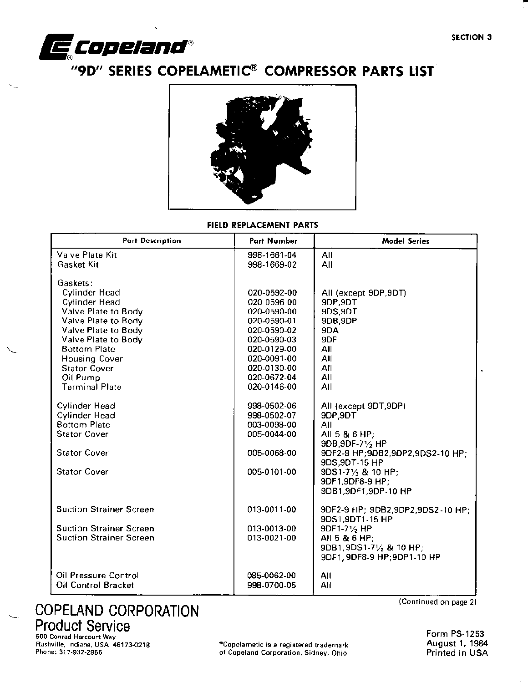

# **E COPETANA** "<br>"9D" SERIES COPELAMETIC<sup>®</sup> COMPRESSOR PARTS LIST



FIELD REPLACEMENT PARTS

| Valve Plate Kit<br>998-1661-04<br>All<br>Gasket Kit<br>998-1669-02<br>All<br>Gaskets:<br>Cylinder Head<br>020-0592-00<br>All (except 9DP, 9DT)<br>Cylinder Head<br>9DP, 9DT<br>020-0596-00<br>Valve Plate to Body<br>9DS, 9DT<br>020-0590-00<br>9DB, 9DP<br>Valve Plate to Body<br>020-0590-01<br>Valve Plate to Body<br>020-0590-02<br>9DA<br>9DF<br>Valve Plate to Body<br>020-0590-03<br><b>Bottom Plate</b><br>020-0129-00<br>All<br>020-0091-00<br><b>Housing Cover</b><br>All<br><b>Stator Cover</b><br>020-0130-00<br>All<br>020-0672-04<br>All<br>Oil Pump<br><b>Terminal Plate</b><br>020-0146-00<br>All<br><b>Cylinder Head</b><br>998-0502-06<br>All (except 9DT, 9DP)<br>Cylinder Head<br>998-0502-07<br>9DP, 9DT<br><b>Bottom Plate</b><br>003-0098-00<br>All<br><b>Stator Cover</b><br>005-0044-00<br>All 5 & 6 HP;<br>9DB, 9DF-71/2 HP<br><b>Stator Cover</b><br>005-0068-00<br>9DF2-9 HP; 9DB2, 9DP2, 9DS2-10 HP;<br>9DS, 9DT-15 HP<br>005-0101-00<br><b>Stator Cover</b><br>9DS1-71/2 & 10 HP;<br>9DF1,9DF8-9 HP;<br>9DB1,9DF1,9DP-10 HP<br><b>Suction Strainer Screen</b><br>013-0011-00<br>9DF2-9 HP; 9DB2,9DP2,9DS2-10 HP;<br>9DS1,9DT1-15 HP<br><b>Suction Strainer Screen</b><br>013-0013-00<br>9DF1-71/2 HP<br><b>Suction Strainer Screen</b><br>013-0021-00<br>All 5 & 6 HP:<br>9DB1, 9DS1-71/2 & 10 HP;<br>9DF1, 9DF8-9 HP; 9DP1-10 HP<br>Oil Pressure Control<br>085-0062-00<br>All<br><b>Oil Control Bracket</b><br>998-0700-05 | <b>Part Description</b> | Part Number | <b>Model Series</b> |
|------------------------------------------------------------------------------------------------------------------------------------------------------------------------------------------------------------------------------------------------------------------------------------------------------------------------------------------------------------------------------------------------------------------------------------------------------------------------------------------------------------------------------------------------------------------------------------------------------------------------------------------------------------------------------------------------------------------------------------------------------------------------------------------------------------------------------------------------------------------------------------------------------------------------------------------------------------------------------------------------------------------------------------------------------------------------------------------------------------------------------------------------------------------------------------------------------------------------------------------------------------------------------------------------------------------------------------------------------------------------------------------------------------------------------------------------------------|-------------------------|-------------|---------------------|
|                                                                                                                                                                                                                                                                                                                                                                                                                                                                                                                                                                                                                                                                                                                                                                                                                                                                                                                                                                                                                                                                                                                                                                                                                                                                                                                                                                                                                                                            |                         |             |                     |
|                                                                                                                                                                                                                                                                                                                                                                                                                                                                                                                                                                                                                                                                                                                                                                                                                                                                                                                                                                                                                                                                                                                                                                                                                                                                                                                                                                                                                                                            |                         |             |                     |
|                                                                                                                                                                                                                                                                                                                                                                                                                                                                                                                                                                                                                                                                                                                                                                                                                                                                                                                                                                                                                                                                                                                                                                                                                                                                                                                                                                                                                                                            |                         |             |                     |
|                                                                                                                                                                                                                                                                                                                                                                                                                                                                                                                                                                                                                                                                                                                                                                                                                                                                                                                                                                                                                                                                                                                                                                                                                                                                                                                                                                                                                                                            |                         |             |                     |
|                                                                                                                                                                                                                                                                                                                                                                                                                                                                                                                                                                                                                                                                                                                                                                                                                                                                                                                                                                                                                                                                                                                                                                                                                                                                                                                                                                                                                                                            |                         |             |                     |
|                                                                                                                                                                                                                                                                                                                                                                                                                                                                                                                                                                                                                                                                                                                                                                                                                                                                                                                                                                                                                                                                                                                                                                                                                                                                                                                                                                                                                                                            |                         |             |                     |
|                                                                                                                                                                                                                                                                                                                                                                                                                                                                                                                                                                                                                                                                                                                                                                                                                                                                                                                                                                                                                                                                                                                                                                                                                                                                                                                                                                                                                                                            |                         |             |                     |
|                                                                                                                                                                                                                                                                                                                                                                                                                                                                                                                                                                                                                                                                                                                                                                                                                                                                                                                                                                                                                                                                                                                                                                                                                                                                                                                                                                                                                                                            |                         |             |                     |
|                                                                                                                                                                                                                                                                                                                                                                                                                                                                                                                                                                                                                                                                                                                                                                                                                                                                                                                                                                                                                                                                                                                                                                                                                                                                                                                                                                                                                                                            |                         |             |                     |
|                                                                                                                                                                                                                                                                                                                                                                                                                                                                                                                                                                                                                                                                                                                                                                                                                                                                                                                                                                                                                                                                                                                                                                                                                                                                                                                                                                                                                                                            |                         |             |                     |
|                                                                                                                                                                                                                                                                                                                                                                                                                                                                                                                                                                                                                                                                                                                                                                                                                                                                                                                                                                                                                                                                                                                                                                                                                                                                                                                                                                                                                                                            |                         |             |                     |
|                                                                                                                                                                                                                                                                                                                                                                                                                                                                                                                                                                                                                                                                                                                                                                                                                                                                                                                                                                                                                                                                                                                                                                                                                                                                                                                                                                                                                                                            |                         |             |                     |
|                                                                                                                                                                                                                                                                                                                                                                                                                                                                                                                                                                                                                                                                                                                                                                                                                                                                                                                                                                                                                                                                                                                                                                                                                                                                                                                                                                                                                                                            |                         |             |                     |
|                                                                                                                                                                                                                                                                                                                                                                                                                                                                                                                                                                                                                                                                                                                                                                                                                                                                                                                                                                                                                                                                                                                                                                                                                                                                                                                                                                                                                                                            |                         |             |                     |
|                                                                                                                                                                                                                                                                                                                                                                                                                                                                                                                                                                                                                                                                                                                                                                                                                                                                                                                                                                                                                                                                                                                                                                                                                                                                                                                                                                                                                                                            |                         |             |                     |
|                                                                                                                                                                                                                                                                                                                                                                                                                                                                                                                                                                                                                                                                                                                                                                                                                                                                                                                                                                                                                                                                                                                                                                                                                                                                                                                                                                                                                                                            |                         |             |                     |
|                                                                                                                                                                                                                                                                                                                                                                                                                                                                                                                                                                                                                                                                                                                                                                                                                                                                                                                                                                                                                                                                                                                                                                                                                                                                                                                                                                                                                                                            |                         |             |                     |
|                                                                                                                                                                                                                                                                                                                                                                                                                                                                                                                                                                                                                                                                                                                                                                                                                                                                                                                                                                                                                                                                                                                                                                                                                                                                                                                                                                                                                                                            |                         |             |                     |
|                                                                                                                                                                                                                                                                                                                                                                                                                                                                                                                                                                                                                                                                                                                                                                                                                                                                                                                                                                                                                                                                                                                                                                                                                                                                                                                                                                                                                                                            |                         |             |                     |
|                                                                                                                                                                                                                                                                                                                                                                                                                                                                                                                                                                                                                                                                                                                                                                                                                                                                                                                                                                                                                                                                                                                                                                                                                                                                                                                                                                                                                                                            |                         |             |                     |
|                                                                                                                                                                                                                                                                                                                                                                                                                                                                                                                                                                                                                                                                                                                                                                                                                                                                                                                                                                                                                                                                                                                                                                                                                                                                                                                                                                                                                                                            |                         |             |                     |
|                                                                                                                                                                                                                                                                                                                                                                                                                                                                                                                                                                                                                                                                                                                                                                                                                                                                                                                                                                                                                                                                                                                                                                                                                                                                                                                                                                                                                                                            |                         |             |                     |
|                                                                                                                                                                                                                                                                                                                                                                                                                                                                                                                                                                                                                                                                                                                                                                                                                                                                                                                                                                                                                                                                                                                                                                                                                                                                                                                                                                                                                                                            |                         |             |                     |
|                                                                                                                                                                                                                                                                                                                                                                                                                                                                                                                                                                                                                                                                                                                                                                                                                                                                                                                                                                                                                                                                                                                                                                                                                                                                                                                                                                                                                                                            |                         |             |                     |
|                                                                                                                                                                                                                                                                                                                                                                                                                                                                                                                                                                                                                                                                                                                                                                                                                                                                                                                                                                                                                                                                                                                                                                                                                                                                                                                                                                                                                                                            |                         |             |                     |
|                                                                                                                                                                                                                                                                                                                                                                                                                                                                                                                                                                                                                                                                                                                                                                                                                                                                                                                                                                                                                                                                                                                                                                                                                                                                                                                                                                                                                                                            |                         |             |                     |
|                                                                                                                                                                                                                                                                                                                                                                                                                                                                                                                                                                                                                                                                                                                                                                                                                                                                                                                                                                                                                                                                                                                                                                                                                                                                                                                                                                                                                                                            |                         |             |                     |
|                                                                                                                                                                                                                                                                                                                                                                                                                                                                                                                                                                                                                                                                                                                                                                                                                                                                                                                                                                                                                                                                                                                                                                                                                                                                                                                                                                                                                                                            |                         |             |                     |
|                                                                                                                                                                                                                                                                                                                                                                                                                                                                                                                                                                                                                                                                                                                                                                                                                                                                                                                                                                                                                                                                                                                                                                                                                                                                                                                                                                                                                                                            |                         |             |                     |
|                                                                                                                                                                                                                                                                                                                                                                                                                                                                                                                                                                                                                                                                                                                                                                                                                                                                                                                                                                                                                                                                                                                                                                                                                                                                                                                                                                                                                                                            |                         |             | All                 |

# COPELAND CORPORATION Product Service

500 Conrad Harcourt Way

Rushville, Indiana, USA 46173-0218 <sup>\*</sup>Copelametic is a registered trademark<br>
Phone: 317-932-2956 **Phone: 317-932-2956** for the complete of Copeland Corporation, Sidney, Ohio or Copotand Corporation, Sidney, Ohio

(Continued on page 2)

Form PS-1253 August 1,1984 Printed in USA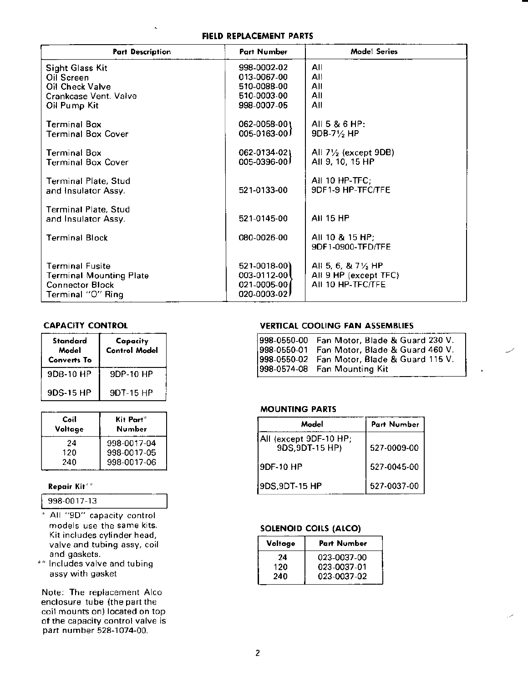FIEID REPLACEMENT PARIS

| <b>Part Description</b>                                                                                 | <b>Part Number</b>                                                    | <b>Model Series</b>                                                         |
|---------------------------------------------------------------------------------------------------------|-----------------------------------------------------------------------|-----------------------------------------------------------------------------|
| <b>Sight Glass Kit</b><br>Oil Screen                                                                    | 998-0002-02<br>013-0067-00                                            | All<br>All                                                                  |
| Oil Check Valve<br>Crankcase Vent. Valve                                                                | 510-0088-00<br>510-0003-00                                            | All<br>All                                                                  |
| Oil Pump Kit                                                                                            | 998-0007-05                                                           | All                                                                         |
| Terminal Box<br><b>Terminal Box Cover</b>                                                               | 062-0058-001<br>$005 - 0163 - 00$                                     | All 5 & 6 HP:<br>$9DB-7\frac{1}{2}HP$                                       |
|                                                                                                         |                                                                       |                                                                             |
| Terminal Box<br><b>Terminal Box Cover</b>                                                               | 062-0134-02)<br>$005 - 0396 - 00$                                     | All $7\frac{1}{2}$ (except 9DB)<br>AII 9, 10, 15 HP                         |
| Terminal Plate, Stud<br>and Insulator Assy.                                                             | 521-0133-00                                                           | All 10 HP-TFC;<br>9DF1-9 HP-TFC/TFE                                         |
| <b>Terminal Plate, Stud</b><br>and Insulator Assy.                                                      | 521-0145-00                                                           | <b>AII 15 HP</b>                                                            |
| <b>Terminal Block</b>                                                                                   | 080-0026-00                                                           | All 10 & 15 HP;<br>9DF1-0900-TFD/TFE                                        |
| <b>Terminal Fusite</b><br><b>Terminal Mounting Plate</b><br><b>Connector Block</b><br>Terminal "O" Ring | 521-0018-00)<br>$003 - 0112 - 00$<br>021-0005-00<br>$020 - 0003 - 02$ | All 5, 6, & $7\frac{1}{2}$ HP<br>All 9 HP (except TFC)<br>AII 10 HP-TFC/TFE |

## **CAPACITY CONTROL**

| Standard<br>Model<br>Converts To | Capacity<br><b>Control Model</b> |
|----------------------------------|----------------------------------|
| 9DB-10 HP                        | 9DP-10 HP                        |
| 9DS-15 HP                        | 9DT-15 HP                        |

| Coil<br>Voltage | Kit Part*<br>Number |
|-----------------|---------------------|
| 24              | 998-0017-04         |
| 120             | 998-0017-05         |
| 240             | 998-0017-06         |

#### Repair Kit\*\*

| $998-0017-13$ |
|---------------|
|---------------|

- All "9D" capacity control  $\overline{\ast}$ models use the same kits. Kit includes cylinder head, valve and tubing assy, coil and gaskets.
- \*\* Includes valve and tubing assy with gasket

Note: The replacement Alco enclosure tube {the part the coil mounts on) located on top of the capacity control valve is part number 528-1074-00.

#### **VERTICAL COOLING FAN ASSEMBLIES**

|             | 998-0550-00 Fan Motor, Blade & Guard 230 V. |
|-------------|---------------------------------------------|
| 998-0550-01 | Fan Motor, Blade & Guard 460 V.             |
| 998-0550-02 | Fan Motor, Blade & Guard 115 V.             |
|             | [998-0574-08 Fan Mounting Kit               |

#### **MOUNTING PARTS**

| Model                                     | <b>Part Number</b> |
|-------------------------------------------|--------------------|
| All (except 9DF-10 HP;<br>9DS, 9DT-15 HP) | 527-0009-00        |
| I9DF-10 HP                                | 527-0045-00        |
| 9DS,9DT-15 HP                             | 527-0037-00        |

# SOLENOID COILS (ALCO)

| <b>Part Number</b> |
|--------------------|
| 023-0037-00        |
| 023-0037-01        |
| 023-0037-02        |
|                    |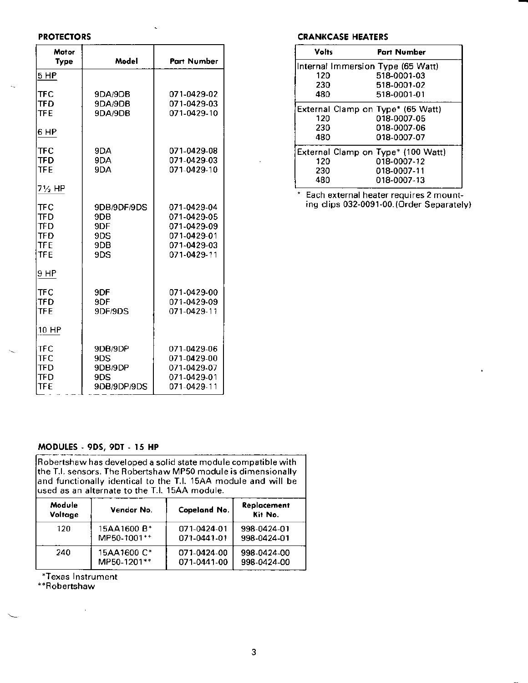#### **PROTECTORS**

 $\mathcal{L}_{\text{in}}$ 

| Motor<br>Type                                        | Model                                            | Part Number                                                                            |  |
|------------------------------------------------------|--------------------------------------------------|----------------------------------------------------------------------------------------|--|
| 5 HP                                                 |                                                  |                                                                                        |  |
| <b>TFC</b><br>TFD<br><b>TFE</b>                      | 9DA/9DB<br>9DA/9DB<br>9DA/9DB                    | 071-0429-02<br>071-0429-03<br>071-0429-10                                              |  |
| 6 HP                                                 |                                                  |                                                                                        |  |
| TFC<br><b>TFD</b><br>TFF                             | 9DA<br>9DA<br>9DA                                | 071-0429-08<br>071-0429-03<br>071-0429-10                                              |  |
| 7½ HP                                                |                                                  |                                                                                        |  |
| <b>TFC</b><br>TFD<br>TFD<br>TFD<br><b>TFF</b><br>TFE | 9DB/9DF/9DS<br>9DB<br>9DF<br>9DS<br>9DB<br>9DS   | 071-0429-04<br>071-0429-05<br>071-0429-09<br>071-0429-01<br>071-0429-03<br>071-0429-11 |  |
| 9 HP                                                 |                                                  |                                                                                        |  |
| <b>TFC</b><br><b>TFD</b><br>TFF                      | 9DF<br>9DF<br>9DF/9DS                            | 071-0429-00<br>071-0429-09<br>071-0429-11                                              |  |
| 10 HP                                                |                                                  |                                                                                        |  |
| TFC<br>TFC.<br>TFD<br>TFD<br>TFF                     | 9DB/9DP<br>9DS<br>9DB/9DP<br>9DS.<br>9DB/9DP/9DS | 071-0429-06<br>071-0429-00<br>071-0429-07<br>071-0429-01<br>071-0429-11                |  |

#### **CRANKCASE HEATERS**

| Volts | <b>Part Number</b>                 |
|-------|------------------------------------|
|       | Internal Immersion Type (65 Watt)  |
| 120   | 518-0001-03                        |
| 230   | 518-0001-02                        |
| 480   | 518-0001-01                        |
|       | External Clamp on Type* (65 Watt)  |
| 120   | 018-0007-05                        |
| 230   | 018-0007-06                        |
| 480   | 018-0007-07                        |
|       | External Clamp on Type* (100 Watt) |
| 120   | 018-0007-12                        |
| 230   | 018-0007-11                        |
| 480   | 018-0007-13                        |

\* Each external heater requires 2 mount-<br>ing clips 032-0091-00. (Order Separately)

# MODULES - 9DS, 9DT - 15 HP

| Robertshaw has developed a solid state module compatible with  |  |  |  |  |
|----------------------------------------------------------------|--|--|--|--|
| the T.I. sensors. The Robertshaw MP50 module is dimensionally  |  |  |  |  |
| and functionally identical to the T.I. 15AA module and will be |  |  |  |  |
| used as an alternate to the T.I. 15AA module.                  |  |  |  |  |
|                                                                |  |  |  |  |

| Module<br>Voltage | Vendor No.  | Copeland No. | Replacement<br>Kit No. |
|-------------------|-------------|--------------|------------------------|
| 120               | 15AA1600 B* | 071-0424-01  | 998-0424-01            |
|                   | MP50-1001** | 071-0441-01  | 998-0424-01            |
| 240               | 15AA1600 C* | 071-0424-00  | 998-0424-00            |
|                   | MP50-1201** | 071-0441-00  | 998-0424-00            |

\*Texas Instrument<br>\*\*Robertshaw

 $\sim 10$ 

 $\overline{a}$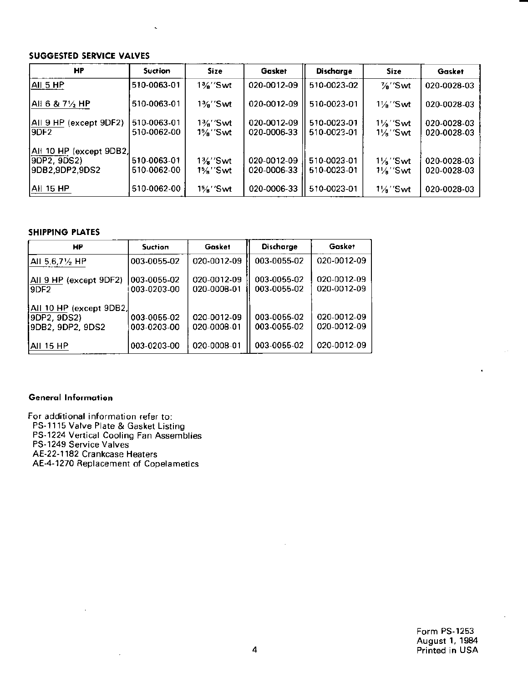## SUGGESTED SERVICE VALVES

| HP                                                        | <b>Suction</b>             | <b>Size</b>                      | Gasket                     | Discharge                  | <b>Size</b>                                | Gasket                     |
|-----------------------------------------------------------|----------------------------|----------------------------------|----------------------------|----------------------------|--------------------------------------------|----------------------------|
| AII 5 HP                                                  | 510-0063-01                | $1\frac{3}{2}$ "Swt              | 020-0012-09                | 510-0023-02                | %″Swt                                      | 020-0028-03                |
| Ali 6 & 7½ HP                                             | 510-0063-01                | $1\frac{3}{4}$ "Swt              | 020-0012-09                | 510-0023-01                | $1\frac{1}{2}$ "Swt                        | 020-0028-03                |
| AII 9 HP (except 9DF2)<br>I9DF2.                          | 510-0063-01<br>510-0062-00 | $1\frac{3}{4}$ "Swt<br>$1\%$ Swt | 020-0012-09<br>020-0006-33 | 510-0023-01<br>510-0023-01 | $1\frac{1}{8}$ "Swt<br>$1\frac{1}{8}$ "Swt | 020-0028-03<br>020-0028-03 |
| All 10 HP (except 9DB2,<br>9DP2, 9DS2)<br>I9DB2.9DP2.9DS2 | 510-0063-01<br>510-0062-00 | 1%"Swt<br>1%''Swt                | 020-0012-09<br>020-0006-33 | 510-0023-01<br>510-0023-01 | $1\frac{1}{8}$ "Swt<br>$1\frac{1}{8}$ "Swt | 020-0028-03<br>020-0028-03 |
| AII 15 HP                                                 | 510-0062-00                | 1%"Swt                           | 020-0006-33                | 510-0023-01                | $1\frac{1}{2}$ "Swt                        | 020-0028-03                |

#### SHIPPING PLATES

| HP                                                         | <b>Suction</b>             | Gasket                     | Discharge                  | <b>Gosket</b>              |
|------------------------------------------------------------|----------------------------|----------------------------|----------------------------|----------------------------|
| All 5,6,71/2 HP                                            | 003-0055-02                | 020-0012-09                | 003-0055-02                | 020-0012-09                |
| All 9 HP (except 9DF2)<br>I9DE2.                           | 003-0055-02<br>003-0203-00 | 020-0012-09<br>020-0008-01 | 003-0055-02<br>003-0055-02 | 020-0012-09<br>020-0012-09 |
| All 10 HP (except 9DB2,<br>(9DP2, 9DS2<br>9DB2, 9DP2, 9DS2 | 003-0055-02<br>003-0203-00 | 020-0012-09<br>020-0008-01 | 003-0055-02<br>003-0055-02 | 020-0012-09<br>020-0012-09 |
| IAII 15 HP                                                 | 003-0203-00                | 020-0008-01                | 003-0055-02                | 020-0012-09                |

### Generdl Informorion

For additional information refer to:

PS-11 I5 Valve Plate & Gasket Ljsring

PS-1224 Verrical Cooling Fan Assemblies

PS-1249 Service Valves

AE-22-1182 Crankcase Heaters

AE-4-1270 Replacement of Copelametics